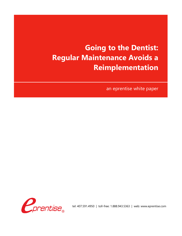# **Going to the Dentist: Regular Maintenance Avoids a Reimplementation**

an eprentise white paper



tel: 407.591.4950 | toll-free: 1.888.943.5363 | web: www.eprentise.com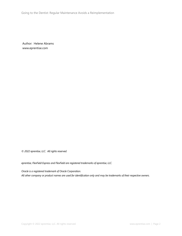Going to the Dentist: Regular Maintenance Avoids a Reimplementation

Author: Helene Abrams www.eprentise.com

*© 2022 eprentise, LLC. All rights reserved.*

*eprentise, FlexField Express and FlexField are registered trademarks of eprentise, LLC.*

*Oracle is a registered trademark of Oracle Corporation. All other company or product names are used for identification only and may be trademarks of their respective owners.*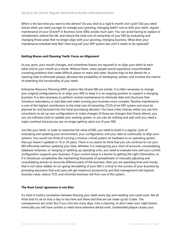When is the last time you went to the dentist? Do you stick to a rigid 6-month visit cycle? Did you need braces when you were younger to manage your growing, changing teeth? Just as with your teeth, regular maintenance of your Oracle® E-Business Suite (EBS) avoids much pain. You can avoid having to replace or reimplement, extend the life, and reduce the total cost of ownership of your EBS by evaluating and changing those areas that no longer align with your growing, changing business. What does your maintenance schedule look like? How long will your ERP system last until it needs to be replaced?

## **Getting Braces and Cleaning Teeth: Focus on Alignment**

As you grow, your mouth changes, and sometimes braces are required to re-align your teeth to each other and to your mouth as a whole. Without them, many people would experience uncomfortable crowding problems that create difficult places to reach and clean. Routine trips to the dentist for a cleaning help to eliminate plaque, decrease the probability of developing cavities, and increase the chance of extending the functionality of your teeth.

Enterprise Resource Planning (ERP) systems like Oracle EBS are similar. It is often necessary to change your original configurations to re-align your EBS to keep it in an ongoing position to support a changing business. It is also necessary to perform routine maintenance to eliminate data and structures that introduce redundancy or bad data and make running your business more complex. Routine maintenance is one of the highest contributors to the total cost of ownership (TCO) of an ERP system and must be planned for and factored into the initial purchasing decision. You have a few choices; either you can hire consultants to set up new configurations to make changes (if those are changes that Oracle allows), you can use software tools to update your existing system, or you can do nothing and wait until you need a major overhaul because you are no longer getting value out of your EBS.

Just like your teeth, in order to maximize the value of EBS, you need to build in a regular cycle of evaluating and updating your environment, your configuration, and your data to continually re-align your systems. You would not think of running a mission-critical system on hardware or an operating system that you haven't updated in 10 or 20 years. There is no reason to think that you can continue to run your EBS efficiently without updating your data. Whether it is redesigning your chart of accounts, consolidating database instances, or merging or splitting up operating units, you need to evaluate how well your current configuration supports your business. If your current setup is a barrier to getting the right information, or if it introduces complexities like maintaining thousands of spreadsheets or manually adjusting and consolidating entries to reconcile different parts of the business, then you are spending time and money that is not value-added. An on-going remodeling of your EBS is critical to the success of your business by providing assurance that end users will get maximum productivity and that management will improve business value, reduce TCO, and minimize business risk from use of the system.

### **The Root Canal: Ignorance is not bliss**

It's hard to build a correlation between flossing your teeth every day and needing root canal work. We all think that it's ok to miss a day or two here and there and that we can make up for it later. The consequences are small. But if you miss too many days, miss a cleaning, or don't wear your night braces, eventually you will have cavities or need more extensive dental work. Unattended plaque causes your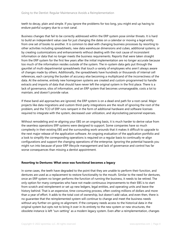teeth to decay, plain and simple. If you ignore the problems for too long, you might end up having to endure painful surgery due to a root canal.

Business changes that fail to be correctly addressed within the ERP system pose similar threats. It is hard to build an independent value case for just changing the dates on a calendar or moving a legal entity from one set of books to another. It is common to deal with changing business processes by resorting to other activities including spreadsheets, new data warehouse dimensions and cubes, additional systems, or by creating customizations and enhancements without dealing with the root cause of inconsistent information or data that no longer meets the business requirements. Reports that were taken straight from the ERP system for the first few years after the initial implementation are no longer accurate because too much of the information resides outside of the system. The in-system data gets put through the gauntlet of multi-departmental spreadsheets that touch a variety of employees who aren't always aware of changes made by others. Additionally, the spreadsheets have hundreds or thousands of internal cell references, each carrying the burden of accuracy else becoming a multiplicand of the incorrectness of the data. At the extreme, entirely new homegrown systems are created and custom-programmed to handle extracts and imports of data that should have never left the original system in the first place. There is a lack of governance, silos of information, and an ERP system that becomes unmanageable, costs a lot to maintain, and doesn't provide value.

If these band-aid approaches are ignored, the ERP system is on a dead-end path for a root canal. Major projects like data migrations and custom third-party integrations are the result of ignoring the root of the problem, and the TCO of ERP runs rampant in the form of additional hardware and software licenses required to integrate with the system, decreased user utilization, and skyrocketing personnel expenses.

Without remodeling and re-aligning your EBS on an ongoing basis, it is much harder to derive value from the seamless operations ERP systems were designed to support. Some companies have so much complexity in their existing EBS and the surrounding work-arounds that it makes it difficult to upgrade to the next major release of the application software. An ongoing evaluation of the application portfolio and a look to simplify the corresponding operations is required on a regular basis to continually re-align configurations and support the changing operations of the enterprise. Ignoring the potential hazards you might run into because of poor ERP lifecycle management and lack of governance and control has far worse consequences than missing a dentist appointment.

### **Resorting to Dentures: What once was functional becomes a legacy**

In some cases, the teeth have degraded to the point that they are unable to perform their function, and dentures are used as a replacement to restore functionality to the mouth. Similar to the need for dentures, once an ERP system no longer performs the function of running the business, it needs to be retired. The only option for many companies who have not made continuous improvements to their EBS is to start from scratch and reimplement or set up new ledgers, legal entities, and operating units and leave the history behind. That is an expensive, time-consuming process, often costing millions of dollars and more than a year of effort. It adds to the total cost of ownership, but doesn't add value, and even then, there is no guarantee that the reimplemented system will continue to change and meet the business needs without any further on-going re-alignment. If the company needs access to the historical data in the original system but opts not to bring it over in its entirety to the new system or new structures, the obsolete instance is left "sun-setting" as a modern legacy system. Even after a reimplementation, changes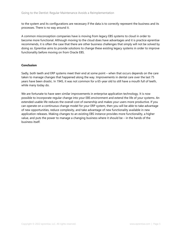to the system and its configurations are necessary if the data is to correctly represent the business and its processes. There is no way around it.

A common misconception companies have is moving from legacy EBS systems to cloud in order to become more functional. Although moving to the cloud does have advantages and it is practice eprentise recommends, it is often the case that there are other business challenges that simply will not be solved by doing so. Eprentise aims to provide solutions to change these existing legacy systems in order to improve functionality before moving on from Oracle EBS.

## **Conclusion**

Sadly, both teeth and ERP systems meet their end at some point – when that occurs depends on the care taken to manage changes that happened along the way. Improvements in dental care over the last 75 years have been drastic. In 1945, it was not common for a 65-year old to still have a mouth full of teeth, while many today do.

We are fortunate to have seen similar improvements in enterprise application technology. It is now possible to incorporate regular change into your EBS environment and extend the life of your systems. An extended usable life reduces the overall cost of ownership and makes your users more productive. If you can operate on a continuous change model for your ERP system, then you will be able to take advantage of new opportunities, reduce complexity, and take advantage of new functionality available in new application releases. Making changes to an existing EBS instance provides more functionality, a higher value, and puts the power to manage a changing business where it should be – in the hands of the business itself.